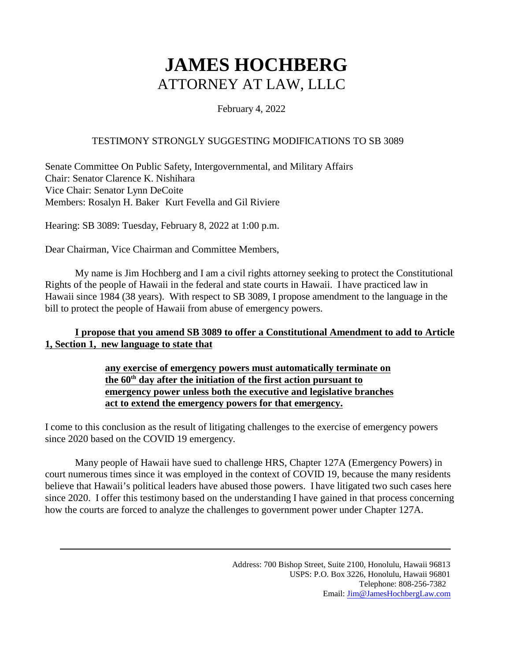#### February 4, 2022

#### TESTIMONY STRONGLY SUGGESTING MODIFICATIONS TO SB 3089

Senate Committee On Public Safety, Intergovernmental, and Military Affairs Chair: Senator Clarence K. Nishihara Vice Chair: Senator Lynn DeCoite Members: Rosalyn H. Baker Kurt Fevella and Gil Riviere

Hearing: SB 3089: Tuesday, February 8, 2022 at 1:00 p.m.

Dear Chairman, Vice Chairman and Committee Members,

My name is Jim Hochberg and I am a civil rights attorney seeking to protect the Constitutional Rights of the people of Hawaii in the federal and state courts in Hawaii. I have practiced law in Hawaii since 1984 (38 years). With respect to SB 3089, I propose amendment to the language in the bill to protect the people of Hawaii from abuse of emergency powers.

### **I propose that you amend SB 3089 to offer a Constitutional Amendment to add to Article 1, Section 1, new language to state that**

#### **any exercise of emergency powers must automatically terminate on the 60th day after the initiation of the first action pursuant to emergency power unless both the executive and legislative branches act to extend the emergency powers for that emergency.**

I come to this conclusion as the result of litigating challenges to the exercise of emergency powers since 2020 based on the COVID 19 emergency.

Many people of Hawaii have sued to challenge HRS, Chapter 127A (Emergency Powers) in court numerous times since it was employed in the context of COVID 19, because the many residents believe that Hawaii's political leaders have abused those powers. I have litigated two such cases here since 2020. I offer this testimony based on the understanding I have gained in that process concerning how the courts are forced to analyze the challenges to government power under Chapter 127A.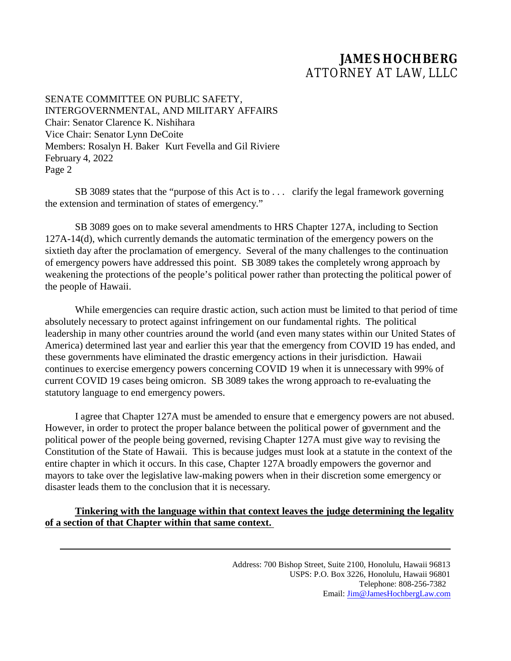SENATE COMMITTEE ON PUBLIC SAFETY, INTERGOVERNMENTAL, AND MILITARY AFFAIRS Chair: Senator Clarence K. Nishihara Vice Chair: Senator Lynn DeCoite Members: Rosalyn H. Baker Kurt Fevella and Gil Riviere February 4, 2022 Page 2

SB 3089 states that the "purpose of this Act is to . . . clarify the legal framework governing the extension and termination of states of emergency."

SB 3089 goes on to make several amendments to HRS Chapter 127A, including to Section 127A-14(d), which currently demands the automatic termination of the emergency powers on the sixtieth day after the proclamation of emergency. Several of the many challenges to the continuation of emergency powers have addressed this point. SB 3089 takes the completely wrong approach by weakening the protections of the people's political power rather than protecting the political power of the people of Hawaii.

While emergencies can require drastic action, such action must be limited to that period of time absolutely necessary to protect against infringement on our fundamental rights. The political leadership in many other countries around the world (and even many states within our United States of America) determined last year and earlier this year that the emergency from COVID 19 has ended, and these governments have eliminated the drastic emergency actions in their jurisdiction. Hawaii continues to exercise emergency powers concerning COVID 19 when it is unnecessary with 99% of current COVID 19 cases being omicron. SB 3089 takes the wrong approach to re-evaluating the statutory language to end emergency powers.

I agree that Chapter 127A must be amended to ensure that e emergency powers are not abused. However, in order to protect the proper balance between the political power of government and the political power of the people being governed, revising Chapter 127A must give way to revising the Constitution of the State of Hawaii. This is because judges must look at a statute in the context of the entire chapter in which it occurs. In this case, Chapter 127A broadly empowers the governor and mayors to take over the legislative law-making powers when in their discretion some emergency or disaster leads them to the conclusion that it is necessary.

#### **Tinkering with the language within that context leaves the judge determining the legality of a section of that Chapter within that same context.**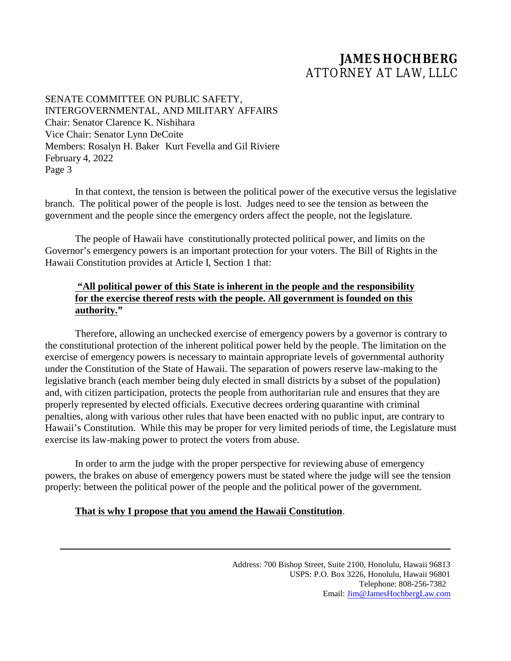SENATE COMMITTEE ON PUBLIC SAFETY, INTERGOVERNMENTAL, AND MILITARY AFFAIRS Chair: Senator Clarence K. Nishihara Vice Chair: Senator Lynn DeCoite Members: Rosalyn H. Baker Kurt Fevella and Gil Riviere February 4, 2022 Page 3

In that context, the tension is between the political power of the executive versus the legislative branch. The political power of the people is lost. Judges need to see the tension as between the government and the people since the emergency orders affect the people, not the legislature.

The people of Hawaii have constitutionally protected political power, and limits on the Governor's emergency powers is an important protection for your voters. The Bill of Rights in the Hawaii Constitution provides at Article I, Section 1 that:

#### **"All political power of this State is inherent in the people and the responsibility for the exercise thereof rests with the people. All government is founded on this authority."**

Therefore, allowing an unchecked exercise of emergency powers by a governor is contrary to the constitutional protection of the inherent political power held by the people. The limitation on the exercise of emergency powers is necessary to maintain appropriate levels of governmental authority under the Constitution of the State of Hawaii. The separation of powers reserve law-making to the legislative branch (each member being duly elected in small districts by a subset of the population) and, with citizen participation, protects the people from authoritarian rule and ensures that they are properly represented by elected officials. Executive decrees ordering quarantine with criminal penalties, along with various other rules that have been enacted with no public input, are contrary to Hawaii's Constitution. While this may be proper for very limited periods of time, the Legislature must exercise its law-making power to protect the voters from abuse.

In order to arm the judge with the proper perspective for reviewing abuse of emergency powers, the brakes on abuse of emergency powers must be stated where the judge will see the tension properly: between the political power of the people and the political power of the government.

#### **That is why I propose that you amend the Hawaii Constitution**.